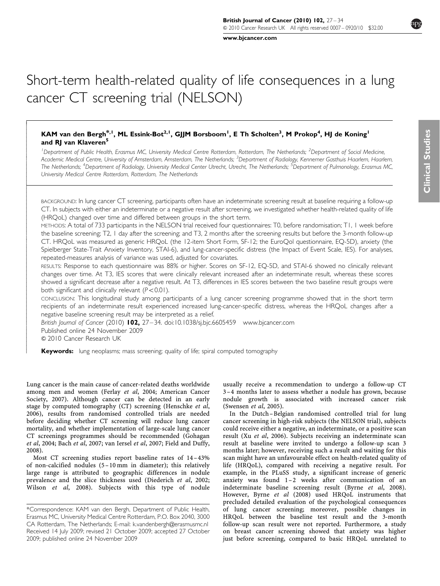[www.bjcancer.com](http://www.bjcancer.com)

# Short-term health-related quality of life consequences in a lung cancer CT screening trial (NELSON)

# KAM van den Bergh $^{\ast,1}$ , ML Essink-Bot $^{2,1}$ , GJJM Borsboom $^{\mathsf{I}}$ , E Th Scholten $^3$ , M Prokop $^4$ , HJ de Koning $^{\mathsf{I}}$ and RI van Klaveren<sup>5</sup>

<sup>1</sup> Department of Public Health, Erasmus MC, University Medical Centre Rotterdam, Rotterdam, The Netherlands; <sup>2</sup> Department of Social Medicine, Academic Medical Centre, University of Amsterdam, Amsterdam, The Netherlands; <sup>3</sup>Department of Radiology, Kennemer Gasthuis Haarlem, Haarlem, The Netherlands; <sup>4</sup>Department of Radiology, University Medical Center Utrecht, Utrecht, The Netherlands; <sup>5</sup>Department of Pulmonology, Erasmus MC, University Medical Centre Rotterdam, Rotterdam, The Netherlands

BACKGROUND: In lung cancer CT screening, participants often have an indeterminate screening result at baseline requiring a follow-up CT. In subjects with either an indeterminate or a negative result after screening, we investigated whether health-related quality of life (HRQoL) changed over time and differed between groups in the short term.

METHODS: A total of 733 participants in the NELSON trial received four questionnaires: T0, before randomisation; T1, 1 week before the baseline screening; T2, 1 day after the screening; and T3, 2 months after the screening results but before the 3-month follow-up CT. HRQoL was measured as generic HRQoL (the 12-item Short Form, SF-12; the EuroQol questionnaire, EQ-5D), anxiety (the Spielberger State-Trait Anxiety Inventory, STAI-6), and lung-cancer-specific distress (the Impact of Event Scale, IES). For analyses, repeated-measures analysis of variance was used, adjusted for covariates.

RESULTS: Response to each questionnaire was 88% or higher. Scores on SF-12, EQ-5D, and STAI-6 showed no clinically relevant changes over time. At T3, IES scores that were clinically relevant increased after an indeterminate result, whereas these scores showed a significant decrease after a negative result. At T3, differences in IES scores between the two baseline result groups were both significant and clinically relevant  $(P<0.01)$ .

CONCLUSION: This longitudinal study among participants of a lung cancer screening programme showed that in the short term recipients of an indeterminate result experienced increased lung-cancer-specific distress, whereas the HRQoL changes after a negative baseline screening result may be interpreted as a relief.

British Journal of Cancer (2010) 102,  $27 - 34$ . doi:[10.1038/sj.bjc.6605459](http://dx.doi.org/10.1038/sj.bjc.6605459) [www.bjcancer.com](http://www.bjcancer.com) Published online 24 November 2009

& 2010 Cancer Research UK

-- $\overline{\phantom{a}}$  $\overline{\phantom{a}}$  $\overline{\phantom{a}}$  $\overline{\phantom{a}}$  $\overline{\phantom{a}}$  $\overline{\phantom{a}}$  $\overline{\phantom{a}}$  $\overline{\phantom{a}}$  $\overline{\phantom{a}}$  $\overline{\phantom{a}}$  $\overline{\phantom{a}}$  $\overline{\phantom{a}}$  $\overline{\phantom{a}}$  $\overline{\phantom{a}}$  $\overline{\phantom{a}}$ -- $\overline{\phantom{a}}$  $\overline{\phantom{a}}$  $\overline{\phantom{a}}$  $\overline{\phantom{a}}$  $\overline{\phantom{a}}$  $\overline{\phantom{a}}$  $\overline{\phantom{a}}$  $\overline{\phantom{a}}$  $\overline{\phantom{a}}$  $\overline{\phantom{a}}$  $\overline{\phantom{a}}$  $\overline{\phantom{a}}$  $\overline{\phantom{a}}$  $\overline{\phantom{a}}$  $\overline{\phantom{a}}$  $\overline{\phantom{a}}$  $\overline{\phantom{a}}$  $\overline{\phantom{a}}$  $\overline{\phantom{a}}$  $\overline{\phantom{a}}$  $\overline{\phantom{a}}$  $\overline{\phantom{a}}$  $\overline{\phantom{a}}$  $\overline{\phantom{a}}$  $\overline{\phantom{a}}$  $\overline{\phantom{a}}$  $\overline{\phantom{a}}$  $\overline{\phantom{a}}$  $\overline{\phantom{a}}$  $\overline{\phantom{a}}$  $\overline{\phantom{a}}$  $\overline{\phantom{a}}$  $\overline{\phantom{a}}$  $\overline{\phantom{a}}$  $\overline{\phantom{a}}$  $\overline{\phantom{a}}$  $\overline{\phantom{a}}$  $\overline{\phantom{a}}$  $\overline{\phantom{a}}$  $\overline{\phantom{a}}$  $\overline{\phantom{a}}$ 

**Keywords:** lung neoplasms; mass screening; quality of life; spiral computed tomography

Lung cancer is the main cause of cancer-related deaths worldwide among men and women (Ferlay et al[, 2004](#page-6-0); [American Cancer](#page-6-0) [Society, 2007](#page-6-0)). Although cancer can be detected in an early stage by computed tomography (CT) screening [\(Henschke](#page-6-0) et al, [2006](#page-6-0)), results from randomised controlled trials are needed before deciding whether CT screening will reduce lung cancer mortality, and whether implementation of large-scale lung cancer CT screenings programmes should be recommended ([Gohagan](#page-6-0) et al[, 2004;](#page-6-0) Bach et al[, 2007](#page-6-0); [van Iersel](#page-7-0) et al, 2007; [Field and Duffy,](#page-6-0) [2008](#page-6-0)).

Most CT screening studies report baseline rates of 14 –43% of non-calcified nodules (5 –10 mm in diameter); this relatively large range is attributed to geographic differences in nodule prevalence and the slice thickness used [\(Diederich](#page-6-0) et al, 2002; Wilson et al[, 2008\)](#page-7-0). Subjects with this type of nodule usually receive a recommendation to undergo a follow-up CT 3 –4 months later to assess whether a nodule has grown, because nodule growth is associated with increased cancer risk [\(Swensen](#page-6-0) et al, 2005).

In the Dutch –Belgian randomised controlled trial for lung cancer screening in high-risk subjects (the NELSON trial), subjects could receive either a negative, an indeterminate, or a positive scan result (Xu et al[, 2006](#page-7-0)). Subjects receiving an indeterminate scan result at baseline were invited to undergo a follow-up scan 3 months later; however, receiving such a result and waiting for this scan might have an unfavourable effect on health-related quality of life (HRQoL), compared with receiving a negative result. For example, in the PLuSS study, a significant increase of generic anxiety was found 1-2 weeks after communication of an indeterminate baseline screening result (Byrne et al[, 2008](#page-6-0)). However, Byrne et al [\(2008\)](#page-6-0) used HRQoL instruments that precluded detailed evaluation of the psychological consequences of lung cancer screening; moreover, possible changes in HRQoL between the baseline test result and the 3-month follow-up scan result were not reported. Furthermore, a study on breast cancer screening showed that anxiety was higher just before screening, compared to basic HRQoL unrelated to

Received 14 July 2009; revised 21 October 2009; accepted 27 October 2009; published online 24 November 2009 \*Correspondence: KAM van den Bergh, Department of Public Health, Erasmus MC, University Medical Centre Rotterdam, P.O. Box 2040, 3000 CA Rotterdam, The Netherlands; E-mail: [k.vandenbergh@erasmusmc.nl](mailto:k.vandenbergh@erasmusmc.nl)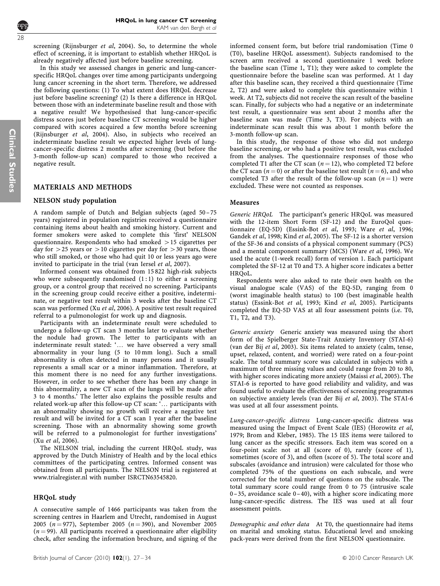screening [\(Rijnsburger](#page-6-0) et al, 2004). So, to determine the whole effect of screening, it is important to establish whether HRQoL is already negatively affected just before baseline screening.

In this study we assessed changes in generic and lung-cancerspecific HRQoL changes over time among participants undergoing lung cancer screening in the short term. Therefore, we addressed the following questions: (1) To what extent does HRQoL decrease just before baseline screening? (2) Is there a difference in HRQoL between those with an indeterminate baseline result and those with a negative result? We hypothesised that lung-cancer-specific distress scores just before baseline CT screening would be higher compared with scores acquired a few months before screening ([Rijnsburger](#page-6-0) et al, 2004). Also, in subjects who received an indeterminate baseline result we expected higher levels of lungcancer-specific distress 2 months after screening (but before the 3-month follow-up scan) compared to those who received a negative result.

# MATERIALS AND METHODS

# NELSON study population

A random sample of Dutch and Belgian subjects (aged 50 –75 years) registered in population registries received a questionnaire containing items about health and smoking history. Current and former smokers were asked to complete this 'first' NELSON questionnaire. Respondents who had smoked  $>15$  cigarettes per day for  $>$  25 years or  $>$  10 cigarettes per day for  $>$  30 years, those who still smoked, or those who had quit 10 or less years ago were invited to participate in the trial ([van Iersel](#page-7-0) et al, 2007).

Informed consent was obtained from 15 822 high-risk subjects who were subsequently randomised  $(1:1)$  to either a screening group, or a control group that received no screening. Participants in the screening group could receive either a positive, indeterminate, or negative test result within 3 weeks after the baseline CT scan was performed (Xu et al[, 2006\)](#page-7-0). A positive test result required referral to a pulmonologist for work up and diagnosis.

Participants with an indeterminate result were scheduled to undergo a follow-up CT scan 3 months later to evaluate whether the nodule had grown. The letter to participants with an indeterminate result stated: '... we have observed a very small abnormality in your lung (5 to 10 mm long). Such a small abnormality is often detected in many persons and it usually represents a small scar or a minor inflammation. Therefore, at this moment there is no need for any further investigations. However, in order to see whether there has been any change in this abnormality, a new CT scan of the lungs will be made after 3 to 4 months.' The letter also explains the possible results and related work-up after this follow-up CT scan: '... participants with an abnormality showing no growth will receive a negative test result and will be invited for a CT scan 1 year after the baseline screening. Those with an abnormality showing some growth will be referred to a pulmonologist for further investigations' (Xu et al[, 2006](#page-7-0)).

The NELSON trial, including the current HRQoL study, was approved by the Dutch Ministry of Health and by the local ethics committees of the participating centres. Informed consent was obtained from all participants. The NELSON trial is registered at <www.trialregister.nl> with number ISRCTN63545820.

# HRQoL study

A consecutive sample of 1466 participants was taken from the screening centres in Haarlem and Utrecht, randomised in August 2005 ( $n = 977$ ), September 2005 ( $n = 390$ ), and November 2005  $(n = 99)$ . All participants received a questionnaire after eligibility check, after sending the information brochure, and signing of the informed consent form, but before trial randomisation (Time 0 (T0), baseline HRQoL assessment). Subjects randomised to the screen arm received a second questionnaire 1 week before the baseline scan (Time 1, T1); they were asked to complete the questionnaire before the baseline scan was performed. At 1 day after this baseline scan, they received a third questionnaire (Time 2, T2) and were asked to complete this questionnaire within 1 week. At T2, subjects did not receive the scan result of the baseline scan. Finally, for subjects who had a negative or an indeterminate test result, a questionnaire was sent about 2 months after the baseline scan was made (Time 3, T3). For subjects with an indeterminate scan result this was about 1 month before the 3-month follow-up scan.

In this study, the response of those who did not undergo baseline screening, or who had a positive test result, was excluded from the analyses. The questionnaire responses of those who completed T1 after the CT scan  $(n = 12)$ , who completed T2 before the CT scan ( $n = 0$ ) or after the baseline test result ( $n = 6$ ), and who completed T3 after the result of the follow-up scan  $(n = 1)$  were excluded. These were not counted as responses.

## Measures

Generic HRQoL The participant's generic HRQoL was measured with the 12-item Short Form (SF-12) and the EuroQol questionnaire (EQ-5D) ([Essink-Bot](#page-6-0) et al, 1993; Ware et al[, 1996](#page-7-0); [Gandek](#page-6-0) et al, 1998; Kind et al[, 2005\)](#page-6-0). The SF-12 is a shorter version of the SF-36 and consists of a physical component summary (PCS) and a mental component summary (MCS) (Ware et al[, 1996\)](#page-7-0). We used the acute (1-week recall) form of version 1. Each participant completed the SF-12 at T0 and T3. A higher score indicates a better HRO<sub>o</sub>L.

Respondents were also asked to rate their own health on the visual analogue scale (VAS) of the EQ-5D, ranging from 0 (worst imaginable health status) to 100 (best imaginable health status) [\(Essink-Bot](#page-6-0) et al, 1993; Kind et al[, 2005\)](#page-6-0). Participants completed the EQ-5D VAS at all four assessment points (i.e. T0, T1, T2, and T3).

Generic anxiety Generic anxiety was measured using the short form of the Spielberger State-Trait Anxiety Inventory (STAI-6) ([van der Bij](#page-7-0) et al, 2003). Six items related to anxiety (calm, tense, upset, relaxed, content, and worried) were rated on a four-point scale. The total summary score was calculated in subjects with a maximum of three missing values and could range from 20 to 80, with higher scores indicating more anxiety [\(Maissi](#page-6-0) et al, 2005). The STAI-6 is reported to have good reliability and validity, and was found useful to evaluate the effectiveness of screening programmes on subjective anxiety levels ([van der Bij](#page-7-0) et al, 2003). The STAI-6 was used at all four assessment points.

Lung-cancer-specific distress Lung-cancer-specific distress was measured using the Impact of Event Scale (IES) ([Horowitz](#page-6-0) et al, [1979; Brom and Kleber, 1985](#page-6-0)). The 15 IES items were tailored to lung cancer as the specific stressors. Each item was scored on a four-point scale: not at all (score of 0), rarely (score of 1), sometimes (score of 3), and often (score of 5). The total score and subscales (avoidance and intrusion) were calculated for those who completed 75% of the questions on each subscale, and were corrected for the total number of questions on the subscale. The total summary score could range from 0 to 75 (intrusive scale 0 –35, avoidance scale 0 –40), with a higher score indicating more lung-cancer-specific distress. The IES was used at all four assessment points.

Demographic and other data At T0, the questionnaire had items on marital and smoking status. Educational level and smoking pack-years were derived from the first NELSON questionnaire.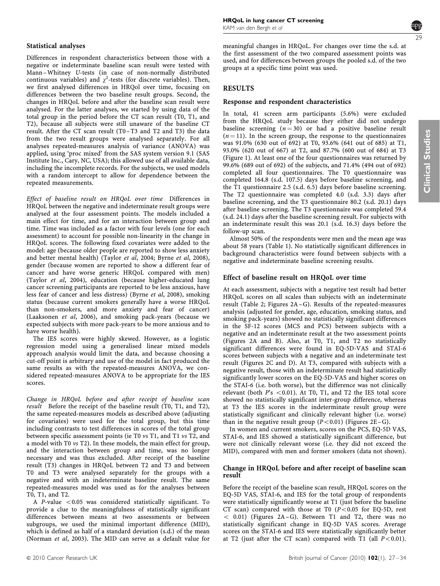#### Statistical analyses

Differences in respondent characteristics between those with a negative or indeterminate baseline scan result were tested with Mann –Whitney U-tests (in case of non-normally distributed continuous variables) and  $\chi^2$ -tests (for discrete variables). Then, we first analysed differences in HRQol over time, focusing on differences between the two baseline result groups. Second, the changes in HRQoL before and after the baseline scan result were analysed. For the latter analyses, we started by using data of the total group in the period before the CT scan result (T0, T1, and T2), because all subjects were still unaware of the baseline CT result. After the CT scan result (T0 –T3 and T2 and T3) the data from the two result groups were analysed separately. For all analyses repeated-measures analysis of variance (ANOVA) was applied, using 'proc mixed' from the SAS system version 9.1 (SAS Institute Inc., Cary, NC, USA); this allowed use of all available data, including the incomplete records. For the subjects, we used models with a random intercept to allow for dependence between the repeated measurements.

Effect of baseline result on HRQoL over time Differences in HRQoL between the negative and indeterminate result groups were analysed at the four assessment points. The models included a main effect for time, and for an interaction between group and time. Time was included as a factor with four levels (one for each assessment) to account for possible non-linearity in the change in HRQoL scores. The following fixed covariates were added to the model: age (because older people are reported to show less anxiety and better mental health) [\(Taylor](#page-7-0) et al, 2004; Byrne et al[, 2008\)](#page-6-0), gender (because women are reported to show a different fear of cancer and have worse generic HRQoL compared with men) (Taylor et al[, 2004](#page-7-0)), education (because higher-educated lung cancer screening participants are reported to be less anxious, have less fear of cancer and less distress) (Byrne et al[, 2008](#page-6-0)), smoking status (because current smokers generally have a worse HRQoL than non-smokers, and more anxiety and fear of cancer) [\(Laaksonen](#page-6-0) et al, 2006), and smoking pack-years (because we expected subjects with more pack-years to be more anxious and to have worse health).

The IES scores were highly skewed. However, as a logistic regression model using a generalised linear mixed models approach analysis would limit the data, and because choosing a cut-off point is arbitrary and use of the model in fact produced the same results as with the repeated-measures ANOVA, we considered repeated-measures ANOVA to be appropriate for the IES scores.

Change in HRQoL before and after receipt of baseline scan result Before the receipt of the baseline result  $(T0, T1, and T2)$ , the same repeated-measures models as described above (adjusting for covariates) were used for the total group, but this time including contrasts to test differences in scores of the total group between specific assessment points (ie T0 vs T1, and T1 vs T2, and a model with T0 vs T2). In these models, the main effect for group, and the interaction between group and time, was no longer necessary and was thus excluded. After receipt of the baseline result (T3) changes in HRQoL between T2 and T3 and between T0 and T3 were analysed separately for the groups with a negative and with an indeterminate baseline result. The same repeated-measures model was used as for the analyses between T0, T1, and T2.

A P-value  $< 0.05$  was considered statistically significant. To provide a clue to the meaningfulness of statistically significant differences between means at two assessments or between subgroups, we used the minimal important difference (MID), which is defined as half of a standard deviation (s.d.) of the mean [\(Norman](#page-6-0) et al, 2003). The MID can serve as a default value for



**Clinical Studies** Clinical Studies

meaningful changes in HRQoL. For changes over time the s.d. at the first assessment of the two compared assessment points was used, and for differences between groups the pooled s.d. of the two groups at a specific time point was used.

# RESULTS

#### Response and respondent characteristics

In total, 41 screen arm participants (5.6%) were excluded from the HRQoL study because they either did not undergo baseline screening  $(n = 30)$  or had a positive baseline result  $(n = 11)$ . In the screen group, the response to the questionnaires was 91.0% (630 out of 692) at T0, 93.6% (641 out of 685) at T1, 93.0% (620 out of 667) at T2, and 87.7% (600 out of 684) at T3 [\(Figure 1\)](#page-3-0). At least one of the four questionnaires was returned by 99.6% (689 out of 692) of the subjects, and 71.4% (494 out of 692) completed all four questionnaires. The T0 questionnaire was completed 164.8 (s.d. 107.5) days before baseline screening, and the T1 questionnaire 2.5 (s.d. 6.5) days before baseline screening. The T2 questionnaire was completed 4.0 (s.d. 3.3) days after baseline screening, and the T3 questionnaire 80.2 (s.d. 20.1) days after baseline screening. The T3 questionnaire was completed 59.4 (s.d. 24.1) days after the baseline screening result. For subjects with an indeterminate result this was 20.1 (s.d. 16.3) days before the follow-up scan.

Almost 50% of the respondents were men and the mean age was about 58 years ([Table 1\)](#page-4-0). No statistically significant differences in background characteristics were found between subjects with a negative and indeterminate baseline screening results.

## Effect of baseline result on HRQoL over time

At each assessment, subjects with a negative test result had better HRQoL scores on all scales than subjects with an indeterminate result [\(Table 2](#page-4-0); [Figures 2A –G](#page-5-0)). Results of the repeated-measures analysis (adjusted for gender, age, education, smoking status, and smoking pack-years) showed no statistically significant differences in the SF-12 scores (MCS and PCS) between subjects with a negative and an indeterminate result at the two assessment points [\(Figures 2A and B\)](#page-5-0). Also, at T0, T1, and T2 no statistically significant differences were found in EQ-5D-VAS and STAI-6 scores between subjects with a negative and an indeterminate test result [\(Figures 2C and D\)](#page-5-0). At T3, compared with subjects with a negative result, those with an indeterminate result had statistically significantly lower scores on the EQ-5D-VAS and higher scores on the STAI-6 (i.e. both worse), but the difference was not clinically relevant (both  $P's < 0.01$ ). At T0, T1, and T2 the IES total score showed no statistically significant inter-group difference, whereas at T3 the IES scores in the indeterminate result group were statistically significant and clinically relevant higher (i.e. worse) than in the negative result group  $(P<0.01)$  (Figures 2E-G).

In women and current smokers, scores on the PCS, EQ-5D VAS, STAI-6, and IES showed a statistically significant difference, but were not clinically relevant worse (i.e. they did not exceed the MID), compared with men and former smokers (data not shown).

#### Change in HRQoL before and after receipt of baseline scan result

Before the receipt of the baseline scan result, HRQoL scores on the EQ-5D VAS, STAI-6, and IES for the total group of respondents were statistically significantly worse at T1 (just before the baseline CT scan) compared with those at T0  $(P<0.05$  for EQ-5D, rest  $<$  0.01) (Figures 2A-G). Between T1 and T2, there was no statistically significant change in EQ-5D VAS scores. Average scores on the STAI-6 and IES were statistically significantly better at T2 (just after the CT scan) compared with T1 (all  $P < 0.01$ ).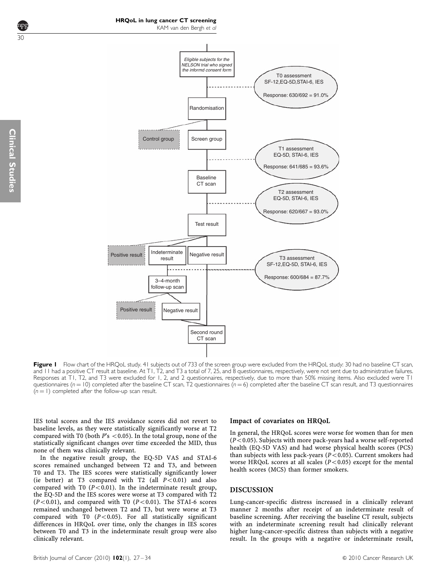<span id="page-3-0"></span>30



Figure I Flow chart of the HRQoL study. 41 subjects out of 733 of the screen group were excluded from the HRQoL study: 30 had no baseline CT scan, and 11 had a positive CT result at baseline. At T1, T2, and T3 a total of 7, 25, and 8 questionnaires, respectively, were not sent due to administrative failures. Responses at T1, T2, and T3 were excluded for 1, 2, and 2 questionnaires, respectively, due to more than 50% missing items. Also excluded were T1 questionnaires ( $n = 10$ ) completed after the baseline CT scan, T2 questionnaires ( $n = 6$ ) completed after the baseline CT scan result, and T3 questionnaires  $(n = 1)$  completed after the follow-up scan result.

IES total scores and the IES avoidance scores did not revert to baseline levels, as they were statistically significantly worse at T2 compared with T0 (both  $P$ 's < 0.05). In the total group, none of the statistically significant changes over time exceeded the MID, thus none of them was clinically relevant.

In the negative result group, the EQ-5D VAS and STAI-6 scores remained unchanged between T2 and T3, and between T0 and T3. The IES scores were statistically significantly lower (ie better) at T3 compared with T2 (all  $P < 0.01$ ) and also compared with T0 ( $P < 0.01$ ). In the indeterminate result group, the EQ-5D and the IES scores were worse at T3 compared with T2  $(P<0.01)$ , and compared with T0  $(P<0.01)$ . The STAI-6 scores remained unchanged between T2 and T3, but were worse at T3 compared with T0  $(P<0.05)$ . For all statistically significant differences in HRQoL over time, only the changes in IES scores between T0 and T3 in the indeterminate result group were also clinically relevant.

#### Impact of covariates on HRQoL

In general, the HRQoL scores were worse for women than for men  $(P<0.05)$ . Subjects with more pack-years had a worse self-reported health (EQ-5D VAS) and had worse physical health scores (PCS) than subjects with less pack-years ( $P < 0.05$ ). Current smokers had worse HRQoL scores at all scales  $(P<0.05)$  except for the mental health scores (MCS) than former smokers.

## DISCUSSION

Lung-cancer-specific distress increased in a clinically relevant manner 2 months after receipt of an indeterminate result of baseline screening. After receiving the baseline CT result, subjects with an indeterminate screening result had clinically relevant higher lung-cancer-specific distress than subjects with a negative result. In the groups with a negative or indeterminate result,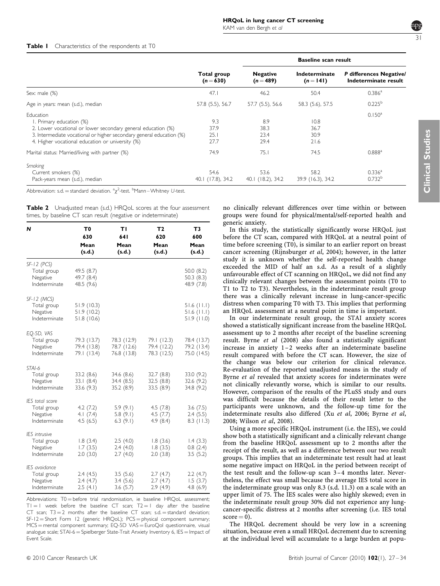#### <span id="page-4-0"></span>Table I Characteristics of the respondents at T0

|                                                                                                                                                                                                                                   |                             | <b>Baseline scan result</b>    |                              |                                                 |  |
|-----------------------------------------------------------------------------------------------------------------------------------------------------------------------------------------------------------------------------------|-----------------------------|--------------------------------|------------------------------|-------------------------------------------------|--|
|                                                                                                                                                                                                                                   | Total group<br>$(n = 630)$  | <b>Negative</b><br>$(n = 489)$ | Indeterminate<br>$(n = 141)$ | P differences Negative/<br>Indeterminate result |  |
| Sex: male (%)                                                                                                                                                                                                                     | 47.1                        | 46.2                           | 50.4                         | $0.386^{\rm a}$                                 |  |
| Age in years: mean (s.d.), median                                                                                                                                                                                                 | 57.8 (5.5), 56.7            | 57.7 (5.5), 56.6               | 58.3 (5.6), 57.5             | $0.225^{b}$                                     |  |
| Education<br>I. Primary education (%)<br>2. Lower vocational or lower secondary general education (%)<br>3. Intermediate vocational or higher secondary general education (%)<br>4. Higher vocational education or university (%) | 9.3<br>37.9<br>25.1<br>27.7 | 8.9<br>38.3<br>23.4<br>29.4    | 10.8<br>36.7<br>30.9<br>21.6 | $0.150^a$                                       |  |
| Marital status: Married/living with partner (%)                                                                                                                                                                                   | 74.9                        | 75.1                           | 74.5                         | $0.888^{a}$                                     |  |
| Smoking<br>Current smokers (%)<br>Pack-years mean (s.d.), median                                                                                                                                                                  | 54.6<br>40.1 (17.8), 34.2   | 53.6<br>40.1 (18.2), 34.2      | 58.2<br>39.9 (16.3), 34.2    | 0.336 <sup>a</sup><br>0.732 <sup>b</sup>        |  |

Abbreviation: s.d. = standard deviation.  ${}^a \chi^2$ -test.  ${}^b$ Mann–Whitney U-test.

| <b>Table 2</b> Unadjusted mean (s.d.) HRQoL scores at the four assessment |  |  |  |  |
|---------------------------------------------------------------------------|--|--|--|--|
| times, by baseline CT scan result (negative or indeterminate)             |  |  |  |  |

| N                                                                | T0<br>630<br>Mean<br>(s.d.)               | ΤI<br>641<br>Mean<br>(s.d.)               | Т2<br>620<br>Mean<br>(s.d.)               | T3<br>600<br>Mean<br>(s.d.)                  |
|------------------------------------------------------------------|-------------------------------------------|-------------------------------------------|-------------------------------------------|----------------------------------------------|
| $SF-12$ (PCS)<br>Total group<br>Negative<br>Indeterminate        | 49.5 (8.7)<br>49.7 (8.4)<br>48.5 (9.6)    |                                           |                                           | 50.0(8.2)<br>50.3(8.3)<br>48.9 (7.8)         |
| SF-12 (MCS)<br>Total group<br>Negative<br>Indeterminate          | 51.9(10.3)<br>51.9(10.2)<br>51.8(10.6)    |                                           |                                           | $51.6$ (11.1)<br>$51.6$ (11.1)<br>51.9(11.0) |
| EQ-5D, VAS<br>Total group<br>Negative<br>Indeterminate           | 79.3 (13.7)<br>79.4 (13.8)<br>79.1 (13.4) | 78.3 (12.9)<br>78.7 (12.6)<br>76.8 (13.8) | 79.1 (12.3)<br>79.4 (12.2)<br>78.3 (12.5) | 78.4 (13.7)<br>79.2 (13.4)<br>75.0 (14.5)    |
| STAI-6<br>Total group<br>Negative<br>Indeterminate               | 33.2 (8.6)<br>33.1(8.4)<br>33.6 (9.3)     | 34.6 (8.6)<br>34.4 (8.5)<br>35.2 (8.9)    | 32.7 (8.8)<br>32.5(8.8)<br>33.5 (8.9)     | 33.0 (9.2)<br>32.6 (9.2)<br>34.8 (9.2)       |
| IES total score<br>Total group<br>Negative<br>Indeterminate      | 4.2(7.2)<br>4.1(7.4)<br>4.5(6.5)          | 5.9(9.1)<br>5.8(9.1)<br>6.3(9.1)          | 4.5(7.8)<br>4.5(7.7)<br>4.9(8.4)          | 3.6(7.5)<br>2.4(5.5)<br>$8.3$ (11.3)         |
| <b>IES</b> intrusive<br>Total group<br>Negative<br>Indeterminate | 1.8(3.4)<br>1.7(3.5)<br>2.0(3.0)          | 2.5(4.0)<br>2.4(4.0)<br>2.7(4.0)          | 1.8(3.6)<br>1.8(3.5)<br>2.0(3.8)          | 1.4(3.3)<br>0.8(2.4)<br>3.5(5.2)             |
| IES avoidance<br>Total group<br>Negative<br>Indeterminate        | 2.4(4.5)<br>2.4(4.7)<br>2.5(4.1)          | 3.5(5.6)<br>3.4(5.6)<br>3.6(5.7)          | 2.7(4.7)<br>2.7(4.7)<br>2.9(4.9)          | 2.2(4.7)<br>1.5(3.7)<br>4.8(6.9)             |

Abbreviations:  $TO =$  before trial randomisation, ie baseline HRQoL assessment;  $T1 = 1$  week before the baseline CT scan;  $T2 = 1$  day after the baseline CT scan;  $T3 = 2$  months after the baseline CT scan; s.d. = standard deviation; SF-12 = Short Form 12 (generic HRQoL); PCS = physical component summary;  $MCS$  = mental component summary; EQ-5D VAS = EuroQol questionnaire, visual analogue scale; STAI-6 = Spielberger State-Trait Anxiety Inventory 6, IES = Impact of Event Scale.

no clinically relevant differences over time within or between groups were found for physical/mental/self-reported health and generic anxiety.

In this study, the statistically significantly worse HRQoL just before the CT scan, compared with HRQoL at a neutral point of time before screening (T0), is similar to an earlier report on breast cancer screening ([Rijnsburger](#page-6-0) et al, 2004); however, in the latter study it is unknown whether the self-reported health change exceeded the MID of half an s.d. As a result of a slightly unfavourable effect of CT scanning on HRQoL, we did not find any clinically relevant changes between the assessment points (T0 to T1 to T2 to T3). Nevertheless, in the indeterminate result group there was a clinically relevant increase in lung-cancer-specific distress when comparing T0 with T3. This implies that performing an HRQoL assessment at a neutral point in time is important.

In our indeterminate result group, the STAI anxiety scores showed a statistically significant increase from the baseline HRQoL assessment up to 2 months after receipt of the baseline screening result. Byrne et al [\(2008\)](#page-6-0) also found a statistically significant increase in anxiety 1 –2 weeks after an indeterminate baseline result compared with before the CT scan. However, the size of the change was below our criterion for clinical relevance. Re-evaluation of the reported unadjusted means in the study of Byrne et al revealed that anxiety scores for indeterminates were not clinically relevantly worse, which is similar to our results. However, comparison of the results of the PLuSS study and ours was difficult because the details of their result letter to the participants were unknown, and the follow-up time for the indeterminate results also differed (Xu et al[, 2006;](#page-7-0) [Byrne](#page-6-0) et al, [2008](#page-6-0); [Wilson](#page-7-0) et al, 2008).

Using a more specific HRQoL instrument (i.e. the IES), we could show both a statistically significant and a clinically relevant change from the baseline HRQoL assessment up to 2 months after the receipt of the result, as well as a difference between our two result groups. This implies that an indeterminate test result had at least some negative impact on HRQoL in the period between receipt of the test result and the follow-up scan 3 –4 months later. Nevertheless, the effect was small because the average IES total score in the indeterminate group was only 8.3 (s.d. 11.3) on a scale with an upper limit of 75. The IES scales were also highly skewed; even in the indeterminate result group 30% did not experience any lungcancer-specific distress at 2 months after screening (i.e. IES total  $score = 0$ ).

The HRQoL decrement should be very low in a screening situation, because even a small HRQoL decrement due to screening at the individual level will accumulate to a large burden at popu31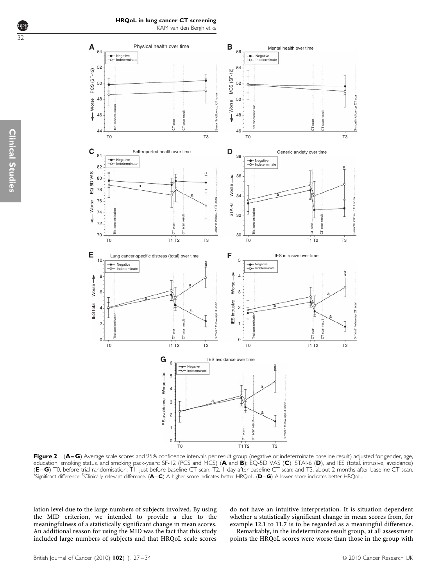

<span id="page-5-0"></span>

Figure 2 (A–G) Average scale scores and 95% confidence intervals per result group (negative or indeterminate baseline result) adjusted for gender, age, education, smoking status, and smoking pack-years: SF-12 (PCS and MCS) (A and B); EQ-5D VAS (C), STAI-6 (D), and IES (total, intrusive, avoidance) (E–G) T0, before trial randomisation; T1, just before baseline CT scan; T2, 1 day after baseline CT scan; and T3, about 2 months after baseline CT scan. <sup>a</sup> Significant difference. <sup>b</sup>Clinically relevant difference. (A–C) A higher score indicates better HRQoL. (D–G) A lower score indicates better HRQoL.

lation level due to the large numbers of subjects involved. By using the MID criterion, we intended to provide a clue to the meaningfulness of a statistically significant change in mean scores. An additional reason for using the MID was the fact that this study included large numbers of subjects and that HRQoL scale scores do not have an intuitive interpretation. It is situation dependent whether a statistically significant change in mean scores from, for example 12.1 to 11.7 is to be regarded as a meaningful difference.

Remarkably, in the indeterminate result group, at all assessment points the HRQoL scores were worse than those in the group with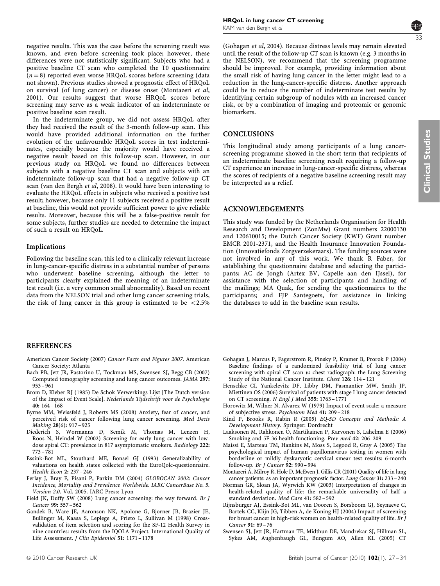<span id="page-6-0"></span>negative results. This was the case before the screening result was known, and even before screening took place; however, these differences were not statistically significant. Subjects who had a positive baseline CT scan who completed the T0 questionnaire  $(n = 8)$  reported even worse HRQoL scores before screening (data not shown). Previous studies showed a prognostic effect of HRQoL on survival (of lung cancer) or disease onset (Montazeri et al, 2001). Our results suggest that worse HRQoL scores before screening may serve as a weak indicator of an indeterminate or positive baseline scan result.

In the indeterminate group, we did not assess HRQoL after they had received the result of the 3-month follow-up scan. This would have provided additional information on the further evolution of the unfavourable HRQoL scores in test indeterminates, especially because the majority would have received a negative result based on this follow-up scan. However, in our previous study on HRQoL we found no differences between subjects with a negative baseline CT scan and subjects with an indeterminate follow-up scan that had a negative follow-up CT scan [\(van den Bergh](#page-7-0) et al, 2008). It would have been interesting to evaluate the HRQoL effects in subjects who received a positive test result; however, because only 11 subjects received a positive result at baseline, this would not provide sufficient power to give reliable results. Moreover, because this will be a false-positive result for some subjects, further studies are needed to determine the impact of such a result on HRQoL.

#### Implications

Following the baseline scan, this led to a clinically relevant increase in lung-cancer-specific distress in a substantial number of persons who underwent baseline screening, although the letter to participants clearly explained the meaning of an indeterminate test result (i.e. a very common small abnormality). Based on recent data from the NELSON trial and other lung cancer screening trials, the risk of lung cancer in this group is estimated to be  $\langle 2.5\%$ 

## REFERENCES

- American Cancer Society (2007) Cancer Facts and Figures 2007. American Cancer Society: Atlanta
- Bach PB, Jett JR, Pastorino U, Tockman MS, Swensen SJ, Begg CB (2007) Computed tomography screening and lung cancer outcomes. JAMA 297: 953 – 961
- Brom D, Kleber RJ (1985) De Schok Verwerkings Lijst [The Dutch version of the Impact of Event Scale]. Nederlands Tijdschrift voor de Psychologie 40:  $164 - 168$
- Byrne MM, Weissfeld J, Roberts MS (2008) Anxiety, fear of cancer, and perceived risk of cancer following lung cancer screening. Med Decis Making 28(6): 917 – 925
- Diederich S, Wormanns D, Semik M, Thomas M, Lenzen H, Roos N, Heindel W (2002) Screening for early lung cancer with lowdose spiral CT: prevalence in 817 asymptomatic smokers. Radiology 222: 773 – 781
- Essink-Bot ML, Stouthard ME, Bonsel GJ (1993) Generalizability of valuations on health states collected with the EuroQolc-questionnaire. Health Econ 2: 237 – 246
- Ferlay J, Bray F, Pisani P, Parkin DM (2004) GLOBOCAN 2002: Cancer Incidence, Mortality and Prevalence Worldwide. IARC CancerBase No. 5. Version 2.0. Vol. 2005. IARC Press: Lyon
- Field JK, Duffy SW (2008) Lung cancer screening: the way forward. Br J Cancer 99: 557 – 562
- Gandek B, Ware JE, Aaronson NK, Apolone G, Bjorner JB, Brazier JE, Bullinger M, Kaasa S, Leplege A, Prieto L, Sullivan M (1998) Crossvalidation of item selection and scoring for the SF-12 Health Survey in nine countries: results from the IQOLA Project. International Quality of Life Assessment. J Clin Epidemiol 51: 1171 – 1178



**Clinical Studies** Clinical Studies

(Gohagan et al, 2004). Because distress levels may remain elevated until the result of the follow-up CT scan is known (e.g. 3 months in the NELSON), we recommend that the screening programme should be improved. For example, providing information about the small risk of having lung cancer in the letter might lead to a reduction in the lung-cancer-specific distress. Another approach could be to reduce the number of indeterminate test results by identifying certain subgroup of nodules with an increased cancer risk, or by a combination of imaging and proteomic or genomic biomarkers.

## **CONCLUSIONS**

This longitudinal study among participants of a lung cancerscreening programme showed in the short term that recipients of an indeterminate baseline screening result requiring a follow-up CT experience an increase in lung-cancer-specific distress, whereas the scores of recipients of a negative baseline screening result may be interpreted as a relief.

## ACKNOWLEDGEMENTS

This study was funded by the Netherlands Organisation for Health Research and Development (ZonMw) Grant numbers 22000130 and 120610015; the Dutch Cancer Society (KWF) Grant number EMCR 2001-2371, and the Health Insurance Innovation Foundation (Innovatiefonds Zorgverzekeraars). The funding sources were not involved in any of this work. We thank R Faber, for establishing the questionnaire database and selecting the participants; AC de Jongh (Artex BV, Capelle aan den IJssel), for assistance with the selection of participants and handling of the mailings; MA Quak, for sending the questionnaires to the participants; and FJP Santegoets, for assistance in linking the databases to add in the baseline scan results.

- Gohagan J, Marcus P, Fagerstrom R, Pinsky P, Kramer B, Prorok P (2004) Baseline findings of a randomized feasibility trial of lung cancer screening with spiral CT scan vs chest radiograph: the Lung Screening Study of the National Cancer Institute. Chest 126: 114 – 121
- Henschke CI, Yankelevitz DF, Libby DM, Pasmantier MW, Smith JP, Miettinen OS (2006) Survival of patients with stage I lung cancer detected on CT screening. N Engl J Med 355: 1763 – 1771
- Horowitz M, Wilner N, Alvarez W (1979) Impact of event scale: a measure of subjective stress. Psychosom Med 41: 209 – 218
- Kind P, Brooks R, Rabin R (2005) EQ-5D Concepts and Methods: A Development History. Springer: Dordrecht
- Laaksonen M, Rahkonen O, Martikainen P, Karvonen S, Lahelma E (2006) Smoking and 5F-36 health functioning. Prev med 42: 206–209
- Maissi E, Marteau TM, Hankins M, Moss S, Legood R, Gray A (2005) The psychological impact of human papillomavirus testing in women with borderline or mildly dyskaryotic cervical smear test results: 6-month follow-up. Br J Cancer 92: 990-994
- Montazeri A, Milroy R, Hole D, McEwen J, Gillis CR (2001) Quality of life in lung cancer patients: as an important prognostic factor. Lung Cancer 31: 233 – 240
- Norman GR, Sloan JA, Wyrwich KW (2003) Interpretation of changes in health-related quality of life: the remarkable universality of half a standard deviation. Med Care 41: 582 – 592
- Rijnsburger AJ, Essink-Bot ML, van Dooren S, Borsboom GJ, Seynaeve C, Bartels CC, Klijn JG, Tibben A, de Koning HJ (2004) Impact of screening for breast cancer in high-risk women on health-related quality of life. Br J Cancer 91: 69 – 76
- Swensen SJ, Jett JR, Hartman TE, Midthun DE, Mandrekar SJ, Hillman SL, Sykes AM, Aughenbaugh GL, Bungum AO, Allen KL (2005) CT